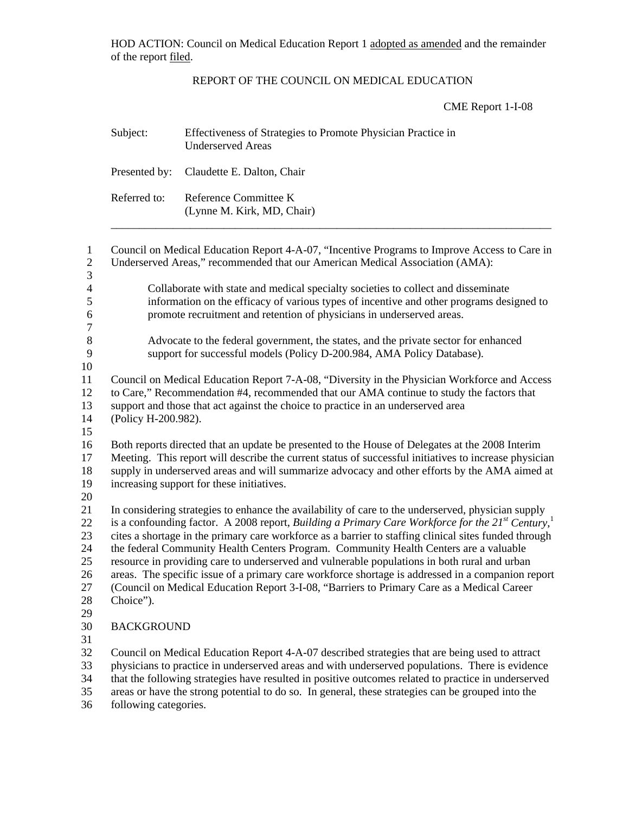HOD ACTION: Council on Medical Education Report 1 adopted as amended and the remainder of the report filed.

## REPORT OF THE COUNCIL ON MEDICAL EDUCATION

CME Report 1-I-08

|                                                                                  | Subject:                                                                                                                                                                                                                                                                                                                                                                                                                                                                                                                                                                                                                                                                                                                     | Effectiveness of Strategies to Promote Physician Practice in<br><b>Underserved Areas</b>                                                                                                                                                               |  |
|----------------------------------------------------------------------------------|------------------------------------------------------------------------------------------------------------------------------------------------------------------------------------------------------------------------------------------------------------------------------------------------------------------------------------------------------------------------------------------------------------------------------------------------------------------------------------------------------------------------------------------------------------------------------------------------------------------------------------------------------------------------------------------------------------------------------|--------------------------------------------------------------------------------------------------------------------------------------------------------------------------------------------------------------------------------------------------------|--|
|                                                                                  | Presented by:                                                                                                                                                                                                                                                                                                                                                                                                                                                                                                                                                                                                                                                                                                                | Claudette E. Dalton, Chair                                                                                                                                                                                                                             |  |
|                                                                                  | Referred to:                                                                                                                                                                                                                                                                                                                                                                                                                                                                                                                                                                                                                                                                                                                 | Reference Committee K<br>(Lynne M. Kirk, MD, Chair)                                                                                                                                                                                                    |  |
| $\mathbf{1}$<br>$\sqrt{2}$<br>3                                                  | Council on Medical Education Report 4-A-07, "Incentive Programs to Improve Access to Care in<br>Underserved Areas," recommended that our American Medical Association (AMA):                                                                                                                                                                                                                                                                                                                                                                                                                                                                                                                                                 |                                                                                                                                                                                                                                                        |  |
| $\overline{4}$<br>5<br>6<br>$\sqrt{ }$                                           |                                                                                                                                                                                                                                                                                                                                                                                                                                                                                                                                                                                                                                                                                                                              | Collaborate with state and medical specialty societies to collect and disseminate<br>information on the efficacy of various types of incentive and other programs designed to<br>promote recruitment and retention of physicians in underserved areas. |  |
| $\,8$<br>9<br>10                                                                 |                                                                                                                                                                                                                                                                                                                                                                                                                                                                                                                                                                                                                                                                                                                              | Advocate to the federal government, the states, and the private sector for enhanced<br>support for successful models (Policy D-200.984, AMA Policy Database).                                                                                          |  |
| 11<br>12<br>13<br>14<br>15                                                       | Council on Medical Education Report 7-A-08, "Diversity in the Physician Workforce and Access<br>to Care," Recommendation #4, recommended that our AMA continue to study the factors that<br>support and those that act against the choice to practice in an underserved area<br>(Policy H-200.982).                                                                                                                                                                                                                                                                                                                                                                                                                          |                                                                                                                                                                                                                                                        |  |
| 16<br>17<br>18<br>19<br>20<br>21<br>22<br>23<br>24<br>25<br>26<br>27<br>28<br>29 | Both reports directed that an update be presented to the House of Delegates at the 2008 Interim<br>Meeting. This report will describe the current status of successful initiatives to increase physician<br>supply in underserved areas and will summarize advocacy and other efforts by the AMA aimed at<br>increasing support for these initiatives.                                                                                                                                                                                                                                                                                                                                                                       |                                                                                                                                                                                                                                                        |  |
|                                                                                  | In considering strategies to enhance the availability of care to the underserved, physician supply<br>is a confounding factor. A 2008 report, Building a Primary Care Workforce for the $21^{st}$ Century,<br>cites a shortage in the primary care workforce as a barrier to staffing clinical sites funded through<br>the federal Community Health Centers Program. Community Health Centers are a valuable<br>resource in providing care to underserved and vulnerable populations in both rural and urban<br>areas. The specific issue of a primary care workforce shortage is addressed in a companion report<br>(Council on Medical Education Report 3-I-08, "Barriers to Primary Care as a Medical Career<br>Choice"). |                                                                                                                                                                                                                                                        |  |
| 30<br>31                                                                         | <b>BACKGROUND</b>                                                                                                                                                                                                                                                                                                                                                                                                                                                                                                                                                                                                                                                                                                            |                                                                                                                                                                                                                                                        |  |
| 32<br>33<br>34<br>35<br>36                                                       | Council on Medical Education Report 4-A-07 described strategies that are being used to attract<br>physicians to practice in underserved areas and with underserved populations. There is evidence<br>that the following strategies have resulted in positive outcomes related to practice in underserved<br>areas or have the strong potential to do so. In general, these strategies can be grouped into the<br>following categories.                                                                                                                                                                                                                                                                                       |                                                                                                                                                                                                                                                        |  |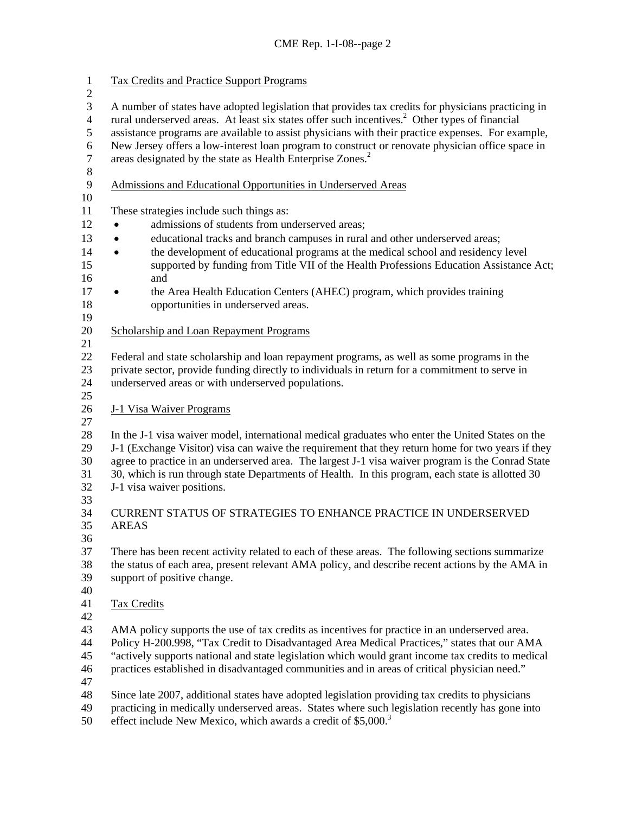1 Tax Credits and Practice Support Programs 2 3 4 5 6 7 8 A number of states have adopted legislation that provides tax credits for physicians practicing in rural underserved areas. At least six states offer such incentives.<sup>2</sup> Other types of financial assistance programs are available to assist physicians with their practice expenses. For example, New Jersey offers a low-interest loan program to construct or renovate physician office space in areas designated by the state as Health Enterprise Zones.<sup>2</sup> 9 Admissions and Educational Opportunities in Underserved Areas 10 11 15 16 18 19 These strategies include such things as: 12 • admissions of students from underserved areas; 13 • educational tracks and branch campuses in rural and other underserved areas; 14 • the development of educational programs at the medical school and residency level supported by funding from Title VII of the Health Professions Education Assistance Act; and 17 • the Area Health Education Centers (AHEC) program, which provides training opportunities in underserved areas. 20 Scholarship and Loan Repayment Programs 21 22 23 24 25 Federal and state scholarship and loan repayment programs, as well as some programs in the private sector, provide funding directly to individuals in return for a commitment to serve in underserved areas or with underserved populations. 26 J-1 Visa Waiver Programs 27 28 29 30 31 32 33 34 35 36 37 38 39 40 In the J-1 visa waiver model, international medical graduates who enter the United States on the J-1 (Exchange Visitor) visa can waive the requirement that they return home for two years if they agree to practice in an underserved area. The largest J-1 visa waiver program is the Conrad State 30, which is run through state Departments of Health. In this program, each state is allotted 30 J-1 visa waiver positions. CURRENT STATUS OF STRATEGIES TO ENHANCE PRACTICE IN UNDERSERVED AREAS There has been recent activity related to each of these areas. The following sections summarize the status of each area, present relevant AMA policy, and describe recent actions by the AMA in support of positive change. 41 Tax Credits 42 43 44 45 46 47 48 49 AMA policy supports the use of tax credits as incentives for practice in an underserved area. Policy H-200.998, "Tax Credit to Disadvantaged Area Medical Practices," states that our AMA "actively supports national and state legislation which would grant income tax credits to medical practices established in disadvantaged communities and in areas of critical physician need." Since late 2007, additional states have adopted legislation providing tax credits to physicians practicing in medically underserved areas. States where such legislation recently has gone into

50 effect include New Mexico, which awards a credit of \$5,000.<sup>3</sup>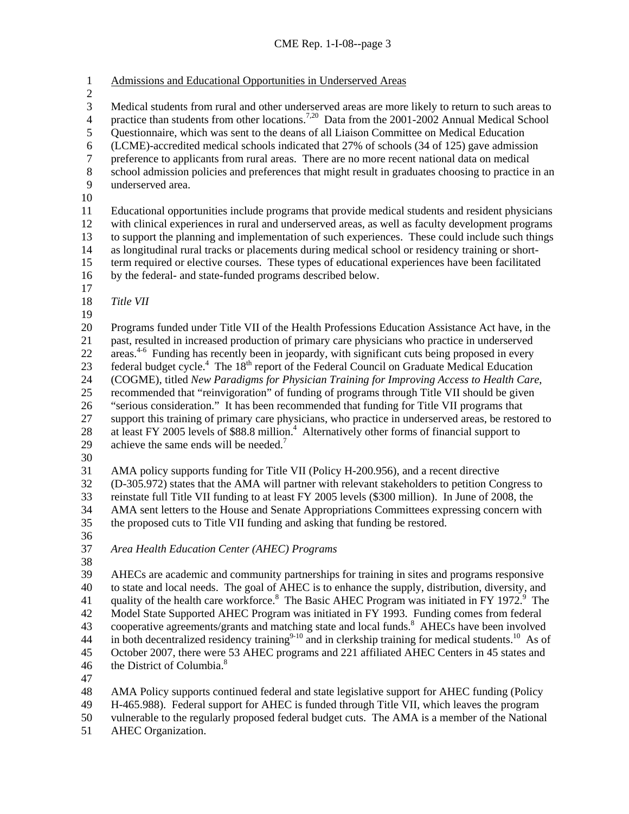1 Admissions and Educational Opportunities in Underserved Areas

2

3 4 Medical students from rural and other underserved areas are more likely to return to such areas to practice than students from other locations.<sup>7,20</sup> Data from the 2001-2002 Annual Medical School

5 Questionnaire, which was sent to the deans of all Liaison Committee on Medical Education

6 (LCME)-accredited medical schools indicated that 27% of schools (34 of 125) gave admission

7 preference to applicants from rural areas. There are no more recent national data on medical

- 8 9 school admission policies and preferences that might result in graduates choosing to practice in an underserved area.
- 10

11 12 13 14 15 16 Educational opportunities include programs that provide medical students and resident physicians with clinical experiences in rural and underserved areas, as well as faculty development programs to support the planning and implementation of such experiences. These could include such things as longitudinal rural tracks or placements during medical school or residency training or shortterm required or elective courses. These types of educational experiences have been facilitated by the federal- and state-funded programs described below.

17

18 *Title VII* 

19

20 21 22 23 24 25 26 27 28 29 Programs funded under Title VII of the Health Professions Education Assistance Act have, in the past, resulted in increased production of primary care physicians who practice in underserved areas.<sup>4-6</sup> Funding has recently been in jeopardy, with significant cuts being proposed in every federal budget cycle.<sup>4</sup> The 18<sup>th</sup> report of the Federal Council on Graduate Medical Education (COGME), titled *New Paradigms for Physician Training for Improving Access to Health Care*, recommended that "reinvigoration" of funding of programs through Title VII should be given "serious consideration." It has been recommended that funding for Title VII programs that support this training of primary care physicians, who practice in underserved areas, be restored to at least FY 2005 levels of \$88.8 million.<sup>4</sup> Alternatively other forms of financial support to achieve the same ends will be needed.<sup>7</sup>

30

31 AMA policy supports funding for Title VII (Policy H-200.956), and a recent directive

32 (D-305.972) states that the AMA will partner with relevant stakeholders to petition Congress to

33 34 reinstate full Title VII funding to at least FY 2005 levels (\$300 million). In June of 2008, the AMA sent letters to the House and Senate Appropriations Committees expressing concern with

35 the proposed cuts to Title VII funding and asking that funding be restored.

36

37 *Area Health Education Center (AHEC) Programs* 

38

39 40 41 42 43 44 45 46 AHECs are academic and community partnerships for training in sites and programs responsive to state and local needs. The goal of AHEC is to enhance the supply, distribution, diversity, and quality of the health care workforce.<sup>8</sup> The Basic AHEC Program was initiated in FY 1972.<sup>9</sup> The Model State Supported AHEC Program was initiated in FY 1993. Funding comes from federal cooperative agreements/grants and matching state and local funds.<sup>8</sup> AHECs have been involved in both decentralized residency training $9-10$  and in clerkship training for medical students.<sup>10</sup> As of October 2007, there were 53 AHEC programs and 221 affiliated AHEC Centers in 45 states and the District of Columbia.<sup>8</sup>

47

48 AMA Policy supports continued federal and state legislative support for AHEC funding (Policy

49 H-465.988). Federal support for AHEC is funded through Title VII, which leaves the program

50 vulnerable to the regularly proposed federal budget cuts. The AMA is a member of the National

51 AHEC Organization.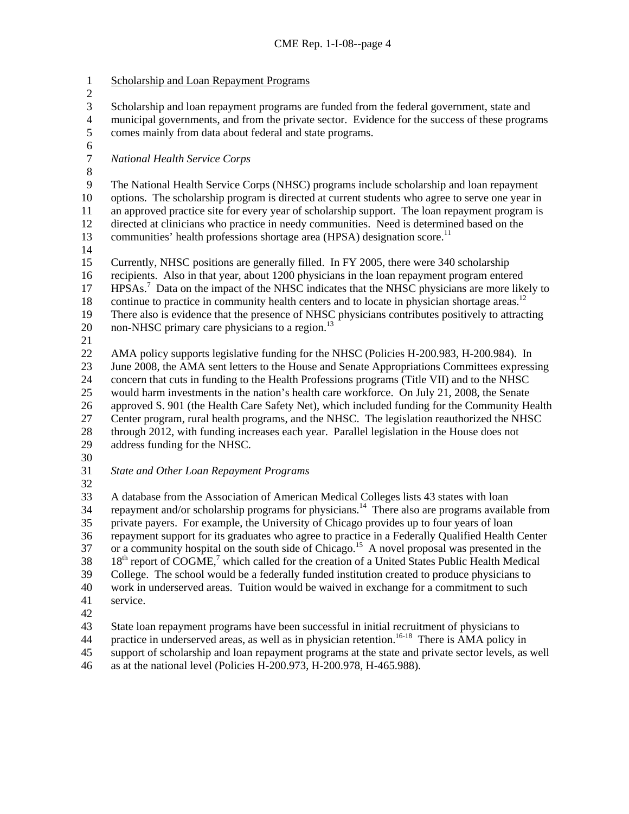2 3 4

1 Scholarship and Loan Repayment Programs

- Scholarship and loan repayment programs are funded from the federal government, state and municipal governments, and from the private sector. Evidence for the success of these programs
- 5 comes mainly from data about federal and state programs.
- 6

*National Health Service Corps*

7 8

9 10 11 12 The National Health Service Corps (NHSC) programs include scholarship and loan repayment options. The scholarship program is directed at current students who agree to serve one year in an approved practice site for every year of scholarship support. The loan repayment program is directed at clinicians who practice in needy communities. Need is determined based on the

13 communities' health professions shortage area  $(HPSA)$  designation score.<sup>11</sup>

14

15 16 17 Currently, NHSC positions are generally filled. In FY 2005, there were 340 scholarship recipients. Also in that year, about 1200 physicians in the loan repayment program entered HPSAs.<sup>7</sup> Data on the impact of the NHSC indicates that the NHSC physicians are more likely to

- 18 continue to practice in community health centers and to locate in physician shortage areas.<sup>12</sup>
- 19 There also is evidence that the presence of NHSC physicians contributes positively to attracting
- 20 non-NHSC primary care physicians to a region.<sup>13</sup>
- 21

22 23 24 25 26 27 28 AMA policy supports legislative funding for the NHSC (Policies H-200.983, H-200.984). In June 2008, the AMA sent letters to the House and Senate Appropriations Committees expressing concern that cuts in funding to the Health Professions programs (Title VII) and to the NHSC would harm investments in the nation's health care workforce. On July 21, 2008, the Senate approved S. 901 (the Health Care Safety Net), which included funding for the Community Health Center program, rural health programs, and the NHSC. The legislation reauthorized the NHSC through 2012, with funding increases each year. Parallel legislation in the House does not

- 29 address funding for the NHSC.
- 30
- 31 *State and Other Loan Repayment Programs*
- 32

33 34 35 36 37 38 39 40 41 A database from the Association of American Medical Colleges lists 43 states with loan repayment and/or scholarship programs for physicians.<sup>14</sup> There also are programs available from private payers. For example, the University of Chicago provides up to four years of loan repayment support for its graduates who agree to practice in a Federally Qualified Health Center or a community hospital on the south side of Chicago.<sup>15</sup> A novel proposal was presented in the 18<sup>th</sup> report of COGME,<sup>7</sup> which called for the creation of a United States Public Health Medical College. The school would be a federally funded institution created to produce physicians to work in underserved areas. Tuition would be waived in exchange for a commitment to such service.

- 42
- 43 State loan repayment programs have been successful in initial recruitment of physicians to
- 44 practice in underserved areas, as well as in physician retention.<sup>16-18</sup> There is AMA policy in
- 45 support of scholarship and loan repayment programs at the state and private sector levels, as well
- 46 as at the national level (Policies H-200.973, H-200.978, H-465.988).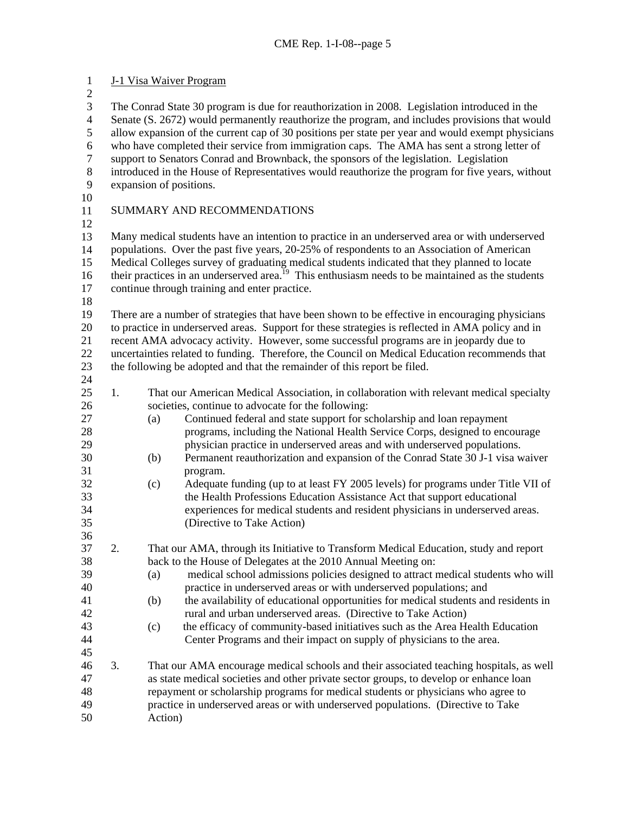1 J-1 Visa Waiver Program  $\mathcal{L}$ 3 4 5 6 7 8 9 10 11 12 13 14 15 16 17 18 19 20 21 22 23 24 25 26 27 28 29 30 31 32 33 34 35 36 37 38 39 40 41 42 43 44 45 46 47 48 49 50 The Conrad State 30 program is due for reauthorization in 2008. Legislation introduced in the Senate (S. 2672) would permanently reauthorize the program, and includes provisions that would allow expansion of the current cap of 30 positions per state per year and would exempt physicians who have completed their service from immigration caps. The AMA has sent a strong letter of support to Senators Conrad and Brownback, the sponsors of the legislation. Legislation introduced in the House of Representatives would reauthorize the program for five years, without expansion of positions. SUMMARY AND RECOMMENDATIONS Many medical students have an intention to practice in an underserved area or with underserved populations. Over the past five years, 20-25% of respondents to an Association of American Medical Colleges survey of graduating medical students indicated that they planned to locate their practices in an underserved area.<sup>19</sup> This enthusiasm needs to be maintained as the students continue through training and enter practice. There are a number of strategies that have been shown to be effective in encouraging physicians to practice in underserved areas. Support for these strategies is reflected in AMA policy and in recent AMA advocacy activity. However, some successful programs are in jeopardy due to uncertainties related to funding. Therefore, the Council on Medical Education recommends that the following be adopted and that the remainder of this report be filed. 1. That our American Medical Association, in collaboration with relevant medical specialty societies, continue to advocate for the following: (a) Continued federal and state support for scholarship and loan repayment programs, including the National Health Service Corps, designed to encourage physician practice in underserved areas and with underserved populations. (b) Permanent reauthorization and expansion of the Conrad State 30 J-1 visa waiver program. (c) Adequate funding (up to at least FY 2005 levels) for programs under Title VII of the Health Professions Education Assistance Act that support educational experiences for medical students and resident physicians in underserved areas. (Directive to Take Action) 2. That our AMA, through its Initiative to Transform Medical Education, study and report back to the House of Delegates at the 2010 Annual Meeting on: (a) medical school admissions policies designed to attract medical students who will practice in underserved areas or with underserved populations; and (b) the availability of educational opportunities for medical students and residents in rural and urban underserved areas. (Directive to Take Action) (c) the efficacy of community-based initiatives such as the Area Health Education Center Programs and their impact on supply of physicians to the area. 3. That our AMA encourage medical schools and their associated teaching hospitals, as well as state medical societies and other private sector groups, to develop or enhance loan repayment or scholarship programs for medical students or physicians who agree to practice in underserved areas or with underserved populations. (Directive to Take Action)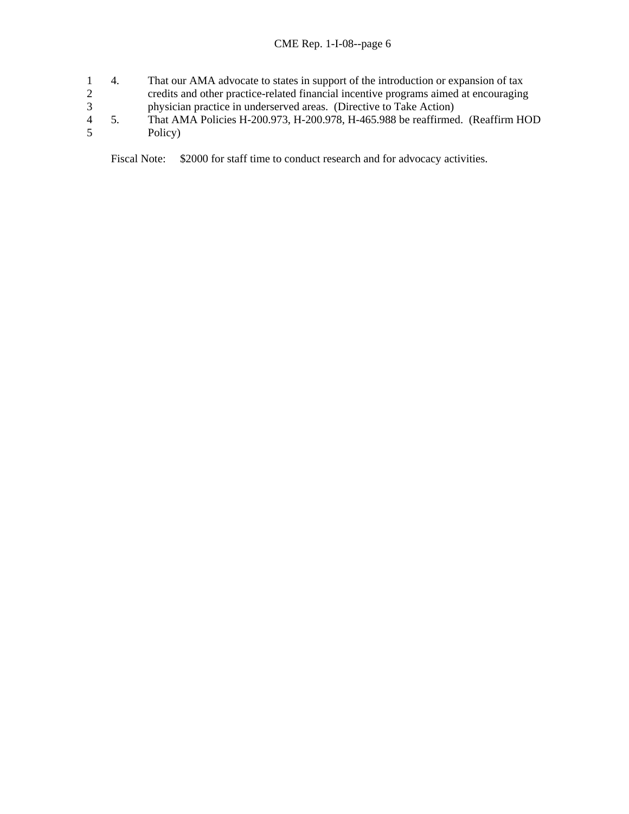## CME Rep. 1-I-08--page 6

4. That our AMA advocate to states in support of the introduction or expansion of tax credits and other practice-related financial incentive programs aimed at encouraging physician practice in underserved areas. (Directive to Take Action) 1 2 3 4 5 5. That AMA Policies H-200.973, H-200.978, H-465.988 be reaffirmed. (Reaffirm HOD Policy)

Fiscal Note: \$2000 for staff time to conduct research and for advocacy activities.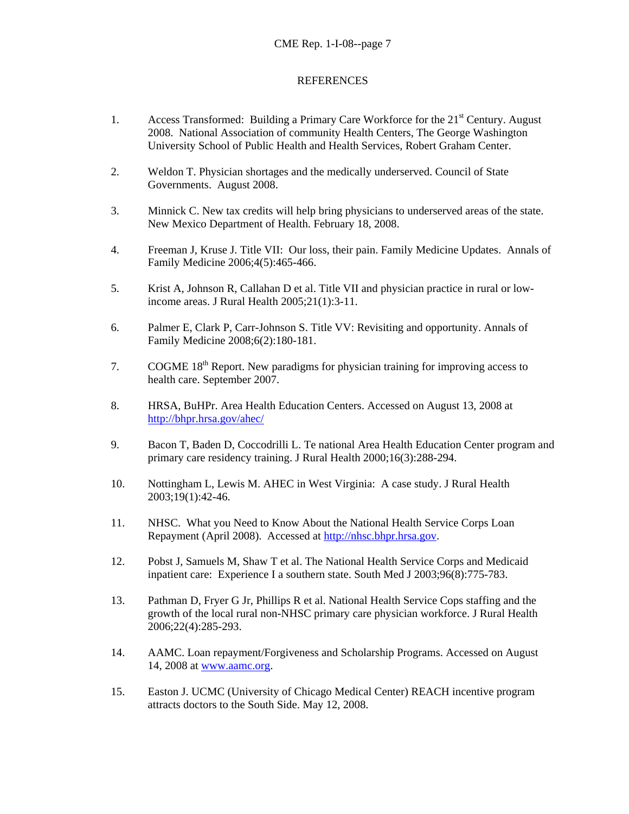## REFERENCES

- 1. Access Transformed: Building a Primary Care Workforce for the 21<sup>st</sup> Century. August 2008. National Association of community Health Centers, The George Washington University School of Public Health and Health Services, Robert Graham Center.
- 2. Weldon T. Physician shortages and the medically underserved. Council of State Governments. August 2008.
- 3. Minnick C. New tax credits will help bring physicians to underserved areas of the state. New Mexico Department of Health. February 18, 2008.
- 4. Freeman J, Kruse J. Title VII: Our loss, their pain. Family Medicine Updates. Annals of Family Medicine 2006;4(5):465-466.
- 5. Krist A, Johnson R, Callahan D et al. Title VII and physician practice in rural or lowincome areas. J Rural Health 2005;21(1):3-11.
- 6. Palmer E, Clark P, Carr-Johnson S. Title VV: Revisiting and opportunity. Annals of Family Medicine 2008;6(2):180-181.
- 7. COGME 18<sup>th</sup> Report. New paradigms for physician training for improving access to health care. September 2007.
- 8. HRSA, BuHPr. Area Health Education Centers. Accessed on August 13, 2008 at <http://bhpr.hrsa.gov/ahec/>
- 9. Bacon T, Baden D, Coccodrilli L. Te national Area Health Education Center program and primary care residency training. J Rural Health 2000;16(3):288-294.
- 10. Nottingham L, Lewis M. AHEC in West Virginia: A case study. J Rural Health 2003;19(1):42-46.
- 11. NHSC. What you Need to Know About the National Health Service Corps Loan Repayment (April 2008). Accessed at [http://nhsc.bhpr.hrsa.gov](http://nhsc.bhpr.hrsa.gov/).
- 12. Pobst J, Samuels M, Shaw T et al. The National Health Service Corps and Medicaid inpatient care: Experience I a southern state. South Med J 2003;96(8):775-783.
- 13. Pathman D, Fryer G Jr, Phillips R et al. National Health Service Cops staffing and the growth of the local rural non-NHSC primary care physician workforce. J Rural Health 2006;22(4):285-293.
- 14. AAMC. Loan repayment/Forgiveness and Scholarship Programs. Accessed on August 14, 2008 at [www.aamc.org](http://www.aamc.org/).
- 15. Easton J. UCMC (University of Chicago Medical Center) REACH incentive program attracts doctors to the South Side. May 12, 2008.